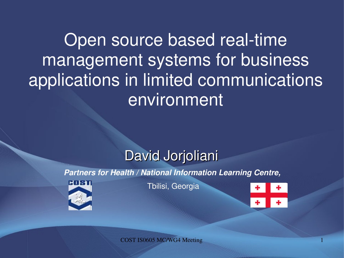Open source based real-time management systems for business applications in limited communications environment

#### David Jorjoliani

*Partners for Health / National Information Learning Centre,*



Tbilisi, Georgia

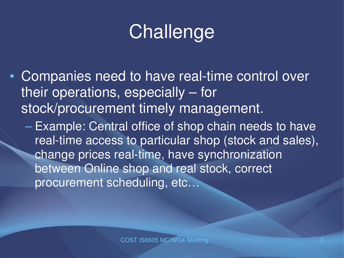# **Challenge**

- Companies need to have real-time control over their operations, especially – for stock/procurement timely management.
	- Example: Central office of shop chain needs to have real-time access to particular shop (stock and sales), change prices real-time, have synchronization between Online shop and real stock, correct procurement scheduling, etc...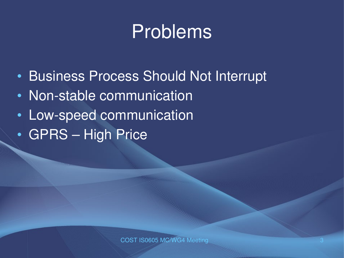### Problems

- Business Process Should Not Interrupt
- Non-stable communication
- Low-speed communication
- GPRS High Price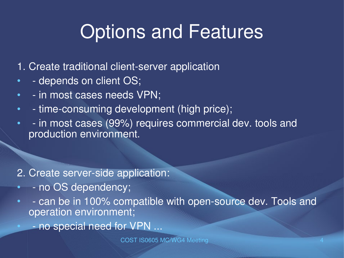## Options and Features

- 1. Create traditional client-server application
- depends on client OS;
- - in most cases needs VPN;
- - time-consuming development (high price);
- in most cases (99%) requires commercial dev. tools and production environment.

#### 2. Create server-side application:

- - no OS dependency;
- - can be in 100% compatible with open-source dev. Tools and operation environment;
	- no special need for VPN ...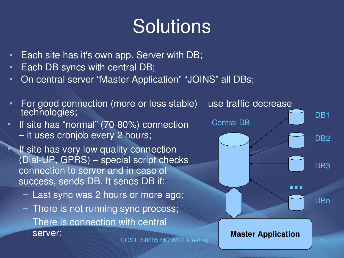## **Solutions**

- Each site has it's own app. Server with DB;
- Each DB syncs with central DB;
- On central server "Master Application" "JOINS" all DBs;



- There is not running sync process;
- There is connection with central server;

**Master Application**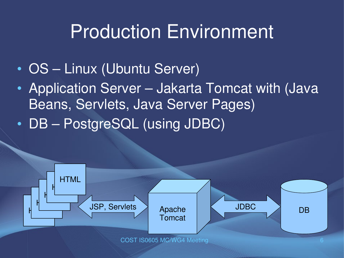### Production Environment

- OS Linux (Ubuntu Server)
- Application Server Jakarta Tomcat with (Java) Beans, Servlets, Java Server Pages)
- DB PostgreSQL (using JDBC)

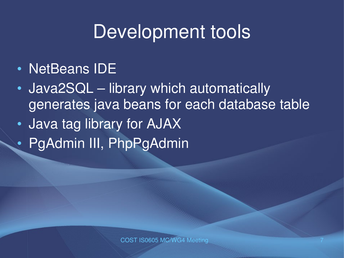### Development tools

- NetBeans IDE
- Java2SQL library which automatically generates java beans for each database table
- Java tag library for AJAX
- PgAdmin III, PhpPgAdmin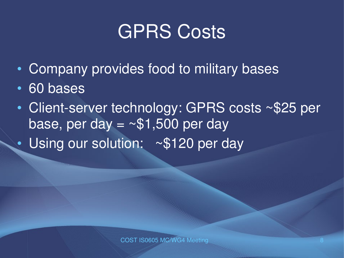### **GPRS Costs**

- Company provides food to military bases
- 60 bases
- Client-server technology: GPRS costs ~\$25 per base, per day = ~\$1,500 per day
- Using our solution: ~\$120 per day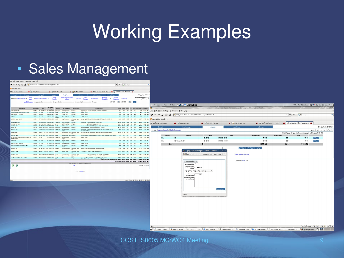# Working Examples

#### • Sales Management

| The For Tiem Hiltoly Rookwauke Toole Field                      |                                      |                                                                                                                               |                            |                                      |                                              |                                             |                                                                                                          |                                                                                              |                                 |                                                                                            |                                                                                      |                    |                                                                         |                                                     |                  |                                                             |                                                                                                                                                                                                     |                                                                |                                                              |                                             |  |
|-----------------------------------------------------------------|--------------------------------------|-------------------------------------------------------------------------------------------------------------------------------|----------------------------|--------------------------------------|----------------------------------------------|---------------------------------------------|----------------------------------------------------------------------------------------------------------|----------------------------------------------------------------------------------------------|---------------------------------|--------------------------------------------------------------------------------------------|--------------------------------------------------------------------------------------|--------------------|-------------------------------------------------------------------------|-----------------------------------------------------|------------------|-------------------------------------------------------------|-----------------------------------------------------------------------------------------------------------------------------------------------------------------------------------------------------|----------------------------------------------------------------|--------------------------------------------------------------|---------------------------------------------|--|
| M http://213.157.213.206:8080/isms/index.jsp?tmenu=5            |                                      |                                                                                                                               |                            |                                      |                                              |                                             |                                                                                                          |                                                                                              | V V <b>Q</b> Google             |                                                                                            |                                                                                      |                    |                                                                         |                                                     |                  |                                                             |                                                                                                                                                                                                     |                                                                |                                                              |                                             |  |
| Latest BBC Headi v                                              |                                      |                                                                                                                               |                            |                                      |                                              |                                             |                                                                                                          |                                                                                              |                                 |                                                                                            |                                                                                      |                    |                                                                         |                                                     |                  |                                                             |                                                                                                                                                                                                     |                                                                |                                                              |                                             |  |
| от Би-би-си   Главная                                           | $\bullet$ $\bullet$ phpPgAdmin       |                                                                                                                               |                            | $\bullet$ $\bullet$ SeeMeAt v.1.00   |                                              | SeeMeAt v.1.00                              |                                                                                                          | C DI Bu-6u-cu   Poccus   MIA P C   K   htegrated Sales Managem                               |                                 |                                                                                            |                                                                                      |                    |                                                                         |                                                     |                  |                                                             |                                                                                                                                                                                                     |                                                                |                                                              |                                             |  |
| desasat                                                         |                                      |                                                                                                                               |                            |                                      | bhonolana                                    |                                             |                                                                                                          |                                                                                              |                                 | 20 bggggilligho 2008 12:15                                                                 |                                                                                      |                    |                                                                         |                                                     |                  |                                                             |                                                                                                                                                                                                     |                                                                |                                                              |                                             |  |
| avangoshi   kalamba   ikapatea                                  | byfosek<br>1984 fe                   | Baltistafiako   Baltikofatago                                                                                                 |                            | province<br>baccofis                 | დღიური ბალანხი ხერჯის<br><b>urboful</b>      | differentiate                               | 26mgcdde-gran                                                                                            |                                                                                              | 1 Islamak                       | <b>გორგოლიანი დავით</b> მთავარი<br>ადმინისტრატ <i>ორი</i>                                  |                                                                                      |                    |                                                                         |                                                     |                  |                                                             |                                                                                                                                                                                                     |                                                                |                                                              |                                             |  |
|                                                                 |                                      |                                                                                                                               |                            | - 933293 bhybyo -                    |                                              | - sugaryyd gala-                            | docuseso                                                                                                 |                                                                                              |                                 |                                                                                            |                                                                                      |                    |                                                                         |                                                     |                  |                                                             |                                                                                                                                                                                                     |                                                                |                                                              |                                             |  |
|                                                                 | Magalah dahanyaan - saacoo depades - |                                                                                                                               |                            |                                      |                                              |                                             |                                                                                                          |                                                                                              |                                 |                                                                                            |                                                                                      |                    |                                                                         |                                                     |                  |                                                             |                                                                                                                                                                                                     |                                                                |                                                              |                                             |  |
|                                                                 |                                      |                                                                                                                               |                            |                                      |                                              |                                             |                                                                                                          |                                                                                              |                                 |                                                                                            | Applications Places System < 3 3 4 9 2 3 3 3                                         |                    |                                                                         |                                                     |                  |                                                             |                                                                                                                                                                                                     |                                                                |                                                              | USA David Jorjoliani W Sat Sep 20, 12:19 AM |  |
| gubabamaha<br>Sansung C170 BLLE                                 | შტრისკოდი                            | $^{62}20$<br>10114811 359771013677645 19/09/2009 10:05 <i>frgbauggggys</i> boboggyfio bobre                                   | degoges<br>manam           |                                      |                                              | მაღამია კონსულტანტი გაყიდვისტიპი<br>brencop | მომხმარებელი<br>gagon foungaodgogos, mbogosto gogdadot 7.877999096                                       |                                                                                              |                                 | COGS1 COGS2 gate 1.8% ggg iginhagago imgaba bafiga                                         | 7158 7008 9900 099 15:10 8350 11:33 0.14 File Edit View History Bookmarks Tools Help |                    |                                                                         |                                                     |                  | Integrated Sales Management System v.1.00 - Mozilla Firefox |                                                                                                                                                                                                     |                                                                |                                                              |                                             |  |
| მაგთის ნომერი მაგთის ნომერი 5ლარი                               |                                      | 10135104 10135104                                                                                                             | 19/09/2008 10:14 arrepaño  |                                      | fisbadn Bolin                                | briggeog                                    | <b>Imaago bufraces</b>                                                                                   |                                                                                              |                                 | 5.00 5.00 5.00 0.00 0.76 4.24 -0.76 -0.18                                                  |                                                                                      |                    |                                                                         |                                                     |                  |                                                             |                                                                                                                                                                                                     |                                                                |                                                              |                                             |  |
| Britin bafram 15 mafraabo<br>grego G273                         |                                      | 10105672 10105672<br>10085142 10085142 19/09/2008 10:23 abargo                                                                | 19/09/2008 10:14 appoals   |                                      | fizbadg bobm<br>გიორგაძე თათა ხრულად         | bfoggog                                     | <b>Brigage buffaces</b><br>Brigagio boficens                                                             |                                                                                              |                                 |                                                                                            |                                                                                      |                    |                                                                         |                                                     |                  |                                                             |                                                                                                                                                                                                     |                                                                | $\vee$ $\heartsuit$ $\Box$                                   |                                             |  |
| Nokia 3110 classic BLACK                                        |                                      | 10130415  355728020653565  19/09/2008 10:23  babberlia                                                                        |                            | abonest                              | bagghadg Bafis                               |                                             | $of a b d q q q o$ - gan - ganfigo θηγλήνιξης ο 858484988 αγλήρι 11816,2 χχ. γιαθά 32 ι λοδι 50          |                                                                                              |                                 |                                                                                            | 154.08 152.58 205.00 2.05 31.27 173.73 17.60 0.10 3 Latest BBC Headli V              |                    |                                                                         |                                                     |                  |                                                             |                                                                                                                                                                                                     |                                                                |                                                              |                                             |  |
| Sony Ericsson W350                                              |                                      | 10113570 354388023487482 19/09/2008 10:34 έγβανοχρησι δοδοηγηθο δοδοτι διάρης να                                              |                            |                                      |                                              | dob.yt                                      | jaba Befady mbogoda adadadeb 42.899518509                                                                |                                                                                              |                                 | 217.47 215.97 299.00 2.99 45.61 253.39 32.93 0.13                                          |                                                                                      |                    |                                                                         |                                                     |                  |                                                             |                                                                                                                                                                                                     |                                                                |                                                              |                                             |  |
| Nokia 6500 slide black<br>Nokia 2760 GRAY                       |                                      | 10129001 353547028833995 19/09/2008 11:31 3ggeEo<br>10143677 356401027018522 19/09/2008 11:38 appgade figbodg belim bridgepog |                            |                                      | კანანცოვა ნიკა ხრულად                        |                                             | მიხეილ მამიაშვილი.877712512. გლდანი 7886 24 კორპ ბ.122                                                   |                                                                                              |                                 | 114.62 113.12 145.00 1.45 22.12 122.88 6.81 0.06                                           | 365.79 394.29 539.00 5.39 82.22 456.78 55.60 0.12 333 БИ-би-си Главная               |                    | · <b>•</b> phpPgAdmin                                                   | SeeMeAt v.1.00                                      |                  | SeeMeAt v.1.00                                              |                                                                                                                                                                                                     | UM Би-би-си   Россия   МИД Р V   24 Integrated Sales Managem V |                                                              |                                             |  |
| Nokia N73 ME                                                    |                                      | 10130484 354851025003250 19/09/2008 11:39 frgbaugggen bobogrgfro bobn briggeup                                                |                            |                                      |                                              |                                             | figlggoå gmfigadg, mångrebo gagyergåbeb 7. 893506635                                                     |                                                                                              |                                 | 412.02 410.52 515.00 5.15 78.56 436.44 19.27 0.04                                          | მთავარი                                                                              |                    | მიღება-გაცემა                                                           | გაყიდვა                                             |                  | ხეატისტიკ                                                   | გამოსვლ                                                                                                                                                                                             |                                                                |                                                              | 20 სექტემბერი 2008 12:1                     |  |
| Nokia 2760 GRAY                                                 |                                      | 10143676 356401027020155 19/09/2008 11:44 პლესანოვი კრიალაშვილი სრულად                                                        |                            |                                      |                                              |                                             | ნთვიანი სმ 1 წლიანი სმ თორნიკე ბაქრაძე 898 75-52-18 მისვარკ 3,3-ა<br>805. and63.341 8.196                |                                                                                              |                                 | 114.62 113.12 145.00 1.45 22.12 122.88 6.81 0.06                                           | გაყიდვა   დღიური ბალანხი   შეხნორების აქტი                                           |                    |                                                                         |                                                     |                  |                                                             |                                                                                                                                                                                                     |                                                                |                                                              | კაკაბაძე ლია მოლარე-ოპერატორ                |  |
| Sorry Ericsson Pfi                                              |                                      | 10104080 357033017279423 19/03/2008 11:49 @ggyaba                                                                             |                            |                                      |                                              |                                             | რუსვიაშვილი ირმა არასრული - ტაო — სმ სუპერ მობი მის:განულიძის 23 ტელ:866670803 ბესარიონ მგვლაძე<br>ბანკი |                                                                                              |                                 | 423.46 421.56 555.00 5.55 84.66 470.34 41.33 0.09                                          |                                                                                      |                    |                                                                         |                                                     |                  |                                                             |                                                                                                                                                                                                     |                                                                | მომხმარებელი მოგადი ბარათი ფასდაკლება 0.00%; ქულა 4199047.60 |                                             |  |
| Nokia 1680 black<br>HEPHS of phopsight delingacygub degling dad |                                      | 10140306 354188024669629 19/03/2008 11:55 დელისი რესეიაშვილი ირმა სრულად<br>10125611 10125611                                 |                            |                                      | 1903/2008 12:00 ჰლესანოვი კრიალამეილი ხრულად |                                             | სმპ სუპერ მობი მის ვ ფშავულას 2კუ 2კორ ბ46 ტელ 320928 ინგა მომიაშუილი<br><b>Imagen buffams</b>           |                                                                                              |                                 | 90.55 89.05 129.00 1.29 19.68 109.32 17.48 0.16<br>3.16 3.16 6.00 0.00 0.92 5.08 1.92 0.38 |                                                                                      |                    |                                                                         |                                                     |                  |                                                             | ირებულება                                                                                                                                                                                           | ფახდაკლება                                                     | motio                                                        |                                             |  |
| PHONE DANGEY<br>grego 0264                                      |                                      | 10116484 10116484                                                                                                             | 19/09/2008 12:00 მლეხანოვი |                                      | კრიალაშვილი <b>ხრელა</b> დ                   |                                             | Bergages Boffeens                                                                                        |                                                                                              |                                 | 10.58 10.58 18.00 0.00 2.75 15.25 4.67 0.31                                                | Nokia                                                                                | N82                |                                                                         | 10128702                                            | 358984015362018  |                                                             | 779.00                                                                                                                                                                                              | 0.00                                                           | 779.00                                                       | ნაშლა                                       |  |
| Berlin bafsann 10 gyafnabo                                      |                                      | 10136098 10136098                                                                                                             |                            |                                      | bologyfo boby briggog                        |                                             | Bergages bofsaces                                                                                        |                                                                                              | 9.60 9.60 10.00 0.00 1.53       | 8.47 -1.13 -0.13                                                                           | Nokia                                                                                | 6120 classic BLACK |                                                                         | 10130099                                            | 359850017100160  |                                                             | 379.00                                                                                                                                                                                              | 0.00                                                           | 379.00                                                       | ნაშლა                                       |  |
| guildgright Charger Nokia N73/1208/N70                          |                                      | 10136181 10138181 19/03/2008 12:08 14:00                                                                                      |                            | 19/03/2008 12:00 <i>frgbasogggya</i> | მერებაშვილი                                  | ხრულად                                      | Bergages backages                                                                                        |                                                                                              |                                 | 4.49 4.49 15.00 0.00 2.29 12.71 8.22 0.65                                                  |                                                                                      | სულ                |                                                                         |                                                     |                  |                                                             | 1158.00                                                                                                                                                                                             | 0.00                                                           | 1158.00                                                      |                                             |  |
| Nokia 5310 RED                                                  |                                      | 10136620 354196022042129 19/09/2008 12:10 Jaggserge                                                                           |                            |                                      |                                              |                                             | სომხიშვილი თეა ირასრული - ტაო — თუიმურამ დეალი, ნინოშვილის ქ 580 მომ 893750067                           |                                                                                              |                                 | 290.31 288.81 389.00 3.69 58.29 312.71 18.71 0.06                                          |                                                                                      |                    |                                                                         |                                                     |                  |                                                             |                                                                                                                                                                                                     |                                                                |                                                              |                                             |  |
| Nokia 5000 green                                                |                                      | 10143787 354838026287842 19/03/2008 12:23 approxim                                                                            |                            |                                      | fisbado babo                                 | λιδχ                                        | ofisbftggro - ტაო - კახაბერ პაჰკიაური 877205062 ილორის ქ.22 ბ.1                                          |                                                                                              | 150.72 149.22 189.00 1.89 28.83 | 160.17 7.56 0.05                                                                           |                                                                                      |                    |                                                                         | ● გაყიდვის დასასრული - Mozilla Firefox – □ ×        |                  |                                                             |                                                                                                                                                                                                     |                                                                |                                                              |                                             |  |
| Nokia 8600 Luna                                                 |                                      | 10137296 353114020542983 19/09/2008 12:31 3ggrbo                                                                              |                            |                                      | კანანცოვა ნიკა                               | <b>Autors</b>                               | υδιελόγησο - ტεπ - ---------------- gandigo ggodiuðgorgin ölsk gryguðin ტელ; 893 35 56 75                |                                                                                              |                                 | 819.81 818.31 1111.00 11.11 169.47 941.53 110.61 0.12                                      |                                                                                      |                    |                                                                         | http://213.157.213.206:8080/isms/content/endsale.js |                  | démandéel gabob babga                                       |                                                                                                                                                                                                     |                                                                |                                                              |                                             |  |
| Sony Ericsson 2555 BLACK DIAMOND                                |                                      | 10113587 353063020518404 19/09/2008 12:32 agrepade                                                                            |                            |                                      | <b>Fizbadg Bobm</b>                          | dob.yt<br>briggeog                          | ლიკა გელაშვილი 855515544. თემქა 118/6 2 ე/ვ 28 კორპ 8.7                                                  |                                                                                              |                                 | 217.47 215.97 269.00 2.69 41.03 227.97 7.81 0.03                                           |                                                                                      |                    |                                                                         |                                                     |                  |                                                             |                                                                                                                                                                                                     |                                                                |                                                              |                                             |  |
|                                                                 |                                      |                                                                                                                               |                            |                                      |                                              |                                             |                                                                                                          | liggy SallggSplo grinngggygdebamgeb 3531.14 3511.64 4656.00 45.69 710.24 3945.76 368.93 0.09 |                                 | liggy 18798.57 18714.57 25406.00 244.52 3875.49 21530.51 2487.42 0.12                      |                                                                                      |                    | $[-3^{\alpha\beta}b\alpha\alpha\gamma\delta\delta\delta\delta\alpha-1]$ |                                                     |                  | Product Of MySoft 2007                                      |                                                                                                                                                                                                     |                                                                |                                                              |                                             |  |
|                                                                 |                                      |                                                                                                                               |                            |                                      |                                              |                                             | სელ გაყიდული პროდუქტების რაოდენობა: 117                                                                  |                                                                                              |                                 |                                                                                            |                                                                                      |                    | დღგ-ს გარეშე: [                                                         |                                                     |                  |                                                             |                                                                                                                                                                                                     |                                                                |                                                              |                                             |  |
| $\mathbf{x}$ $\mathbf{x}$                                       |                                      |                                                                                                                               |                            |                                      |                                              | 123456                                      |                                                                                                          |                                                                                              |                                 | ligge 20/117 g/kegggen                                                                     |                                                                                      |                    | asgebabgaggen 1158.00                                                   |                                                     |                  |                                                             |                                                                                                                                                                                                     |                                                                |                                                              |                                             |  |
|                                                                 |                                      |                                                                                                                               |                            |                                      |                                              |                                             | Product Of MySoft 2007                                                                                   |                                                                                              |                                 |                                                                                            |                                                                                      |                    |                                                                         |                                                     |                  |                                                             |                                                                                                                                                                                                     |                                                                |                                                              |                                             |  |
|                                                                 |                                      |                                                                                                                               |                            |                                      |                                              |                                             |                                                                                                          |                                                                                              |                                 |                                                                                            |                                                                                      |                    | gagabgob godec gagabga broncog<br>ბარათით                               |                                                     |                  |                                                             |                                                                                                                                                                                                     |                                                                |                                                              |                                             |  |
|                                                                 |                                      |                                                                                                                               |                            |                                      |                                              |                                             |                                                                                                          |                                                                                              |                                 |                                                                                            |                                                                                      |                    | aomopococc                                                              | 0.00                                                |                  |                                                             |                                                                                                                                                                                                     |                                                                |                                                              |                                             |  |
| Done                                                            |                                      |                                                                                                                               |                            |                                      |                                              |                                             |                                                                                                          |                                                                                              |                                 |                                                                                            |                                                                                      |                    | სერვის-ბარათის<br>ინფორმაცია:                                           |                                                     |                  |                                                             |                                                                                                                                                                                                     |                                                                |                                                              |                                             |  |
|                                                                 |                                      |                                                                                                                               |                            |                                      |                                              |                                             |                                                                                                          |                                                                                              |                                 | Mostly Cloudy, 21°C 20°C 28°C 4                                                            |                                                                                      |                    |                                                                         |                                                     |                  |                                                             |                                                                                                                                                                                                     |                                                                |                                                              |                                             |  |
|                                                                 |                                      |                                                                                                                               |                            |                                      |                                              |                                             |                                                                                                          |                                                                                              |                                 |                                                                                            |                                                                                      |                    |                                                                         |                                                     |                  |                                                             |                                                                                                                                                                                                     |                                                                |                                                              |                                             |  |
|                                                                 |                                      |                                                                                                                               |                            |                                      |                                              |                                             |                                                                                                          |                                                                                              |                                 |                                                                                            |                                                                                      |                    |                                                                         |                                                     |                  |                                                             |                                                                                                                                                                                                     |                                                                |                                                              |                                             |  |
|                                                                 |                                      |                                                                                                                               |                            |                                      |                                              |                                             |                                                                                                          |                                                                                              |                                 |                                                                                            |                                                                                      |                    |                                                                         |                                                     | <b>დახახრული</b> |                                                             |                                                                                                                                                                                                     |                                                                |                                                              |                                             |  |
|                                                                 |                                      |                                                                                                                               |                            |                                      |                                              |                                             |                                                                                                          |                                                                                              |                                 |                                                                                            |                                                                                      |                    | Done                                                                    |                                                     |                  |                                                             |                                                                                                                                                                                                     |                                                                |                                                              |                                             |  |
|                                                                 |                                      |                                                                                                                               |                            |                                      |                                              |                                             |                                                                                                          |                                                                                              |                                 |                                                                                            |                                                                                      |                    |                                                                         |                                                     |                  |                                                             |                                                                                                                                                                                                     |                                                                |                                                              |                                             |  |
|                                                                 |                                      |                                                                                                                               |                            |                                      |                                              |                                             |                                                                                                          |                                                                                              |                                 |                                                                                            |                                                                                      |                    |                                                                         |                                                     |                  |                                                             |                                                                                                                                                                                                     |                                                                |                                                              |                                             |  |
|                                                                 |                                      |                                                                                                                               |                            |                                      |                                              |                                             |                                                                                                          |                                                                                              |                                 |                                                                                            |                                                                                      |                    |                                                                         |                                                     |                  |                                                             |                                                                                                                                                                                                     |                                                                |                                                              |                                             |  |
|                                                                 |                                      |                                                                                                                               |                            |                                      |                                              |                                             |                                                                                                          |                                                                                              |                                 |                                                                                            |                                                                                      |                    |                                                                         |                                                     |                  |                                                             |                                                                                                                                                                                                     |                                                                |                                                              |                                             |  |
|                                                                 |                                      |                                                                                                                               |                            |                                      |                                              |                                             |                                                                                                          |                                                                                              |                                 |                                                                                            |                                                                                      |                    |                                                                         |                                                     |                  |                                                             |                                                                                                                                                                                                     |                                                                |                                                              |                                             |  |
|                                                                 |                                      |                                                                                                                               |                            |                                      |                                              |                                             |                                                                                                          |                                                                                              |                                 |                                                                                            |                                                                                      |                    |                                                                         |                                                     |                  |                                                             |                                                                                                                                                                                                     |                                                                |                                                              |                                             |  |
|                                                                 |                                      |                                                                                                                               |                            |                                      |                                              |                                             |                                                                                                          |                                                                                              |                                 |                                                                                            |                                                                                      |                    |                                                                         |                                                     |                  |                                                             |                                                                                                                                                                                                     |                                                                |                                                              |                                             |  |
|                                                                 |                                      |                                                                                                                               |                            |                                      |                                              |                                             |                                                                                                          |                                                                                              |                                 |                                                                                            |                                                                                      |                    |                                                                         |                                                     |                  |                                                             |                                                                                                                                                                                                     |                                                                |                                                              |                                             |  |
|                                                                 |                                      |                                                                                                                               |                            |                                      |                                              |                                             |                                                                                                          |                                                                                              |                                 |                                                                                            |                                                                                      |                    |                                                                         |                                                     |                  |                                                             |                                                                                                                                                                                                     |                                                                |                                                              |                                             |  |
|                                                                 |                                      |                                                                                                                               |                            |                                      |                                              |                                             |                                                                                                          |                                                                                              |                                 |                                                                                            |                                                                                      |                    |                                                                         |                                                     |                  |                                                             |                                                                                                                                                                                                     |                                                                |                                                              |                                             |  |
|                                                                 |                                      |                                                                                                                               |                            |                                      |                                              |                                             |                                                                                                          |                                                                                              |                                 |                                                                                            | Done                                                                                 |                    |                                                                         |                                                     |                  |                                                             |                                                                                                                                                                                                     |                                                                |                                                              | Mostly Cloudy, 21°C 20°C 28°C 4             |  |
|                                                                 |                                      |                                                                                                                               |                            |                                      |                                              |                                             |                                                                                                          |                                                                                              |                                 |                                                                                            |                                                                                      |                    |                                                                         |                                                     |                  |                                                             | ad   C [Inbox - Thund   C Integrated Sal   E zurich_26 - Op   C Bloons Tower    E root@home: h   C [SeeMeAt - Ne   E tmp - Konqueror   E [djorj - File Bro   - *Unsaved Doc   C aygrogab gobb   C [ |                                                                |                                                              |                                             |  |
|                                                                 |                                      |                                                                                                                               |                            |                                      |                                              |                                             |                                                                                                          |                                                                                              |                                 |                                                                                            |                                                                                      |                    |                                                                         |                                                     |                  |                                                             |                                                                                                                                                                                                     |                                                                |                                                              |                                             |  |
|                                                                 |                                      |                                                                                                                               |                            |                                      |                                              |                                             |                                                                                                          |                                                                                              |                                 |                                                                                            |                                                                                      |                    |                                                                         |                                                     |                  |                                                             |                                                                                                                                                                                                     |                                                                |                                                              |                                             |  |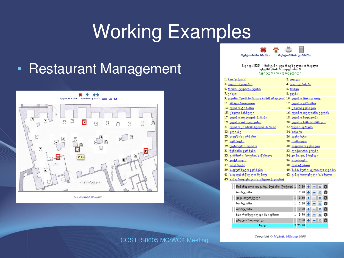# Working Examples

#### • Restaurant Management





#### მაგიდა N23 მიმტანი: კვარაცხელია ირაკლი სტუმრების რაოდენობა: 3 ჩევი ჯერ არაა დაპეჭდილი

| <u>1. ჩაი "უნცია"</u>                                         | 2. ლუდი                             |
|---------------------------------------------------------------|-------------------------------------|
| 3. <u>ლუდი (ვლუბი)</u>                                        | <u>4. ცივი კერძები</u>              |
| 5. <u>რომი, ტევილა, ჯინი</u>                                  | 6. არაყი                            |
| 7.30 <sub>30</sub>                                            | 8.33383                             |
| <u>9. ღვინო "კორპორაცია ქინმმარაული" 10. ღვინო ჭიქით თ/ვ.</u> |                                     |
| <u>11. არაყი ბოთლით</u>                                       | 12. ღვინო ვაზიანი                   |
| <u>13. ღვინო ტიბაანი</u>                                      | <u>14. ცხელი კერძები</u>            |
| 15. <u>ცხელი სასმელი</u>                                      | <u>16. ღვინო თელიანი ველის</u>      |
| <u>17. ღვინო თელავის მარანი</u>                               | <u>18. ღვინო მადაგონი</u>           |
| <u>19. ღვინო თბილღვინო</u>                                    | 20. ღვინო ჩამოსასხმელი              |
| 21. <u>ღვინო ქინმმარაულის მარანი</u>                          | 22. <u>წვენი, ფრეში</u>             |
| 23. გლიასე                                                    | 24. bogs65                          |
| 25. <u>თევზის კერმები</u>                                     | 26. <u>დესერტი</u>                  |
| 27. <u>ვერმოტი</u>                                            | 28. <u>ცომეული</u>                  |
| <u>29. უცხოური ღვინო</u>                                      | 30. <u>საფირმო კერძები</u>          |
| 31. <u>წვნიანი კერძები</u>                                    | <u>32. ლიქიორი, ვრემი</u>           |
| 33. გარნირი, სოუსი, საწებელა                                  | <u>34. კონიაკი, ბრენდი</u>          |
| 35. <u>კოქტეილი</u>                                           | <u>36. სალათები</u>                 |
| 37. <u>სიგარეტი</u>                                           | 38. დამატებით                       |
| 39. <u>საფურშეტო კერმები</u>                                  | <u>40. შამპანური, ცქრიალა ღვინო</u> |
| <u>41. სადღესასწაულო მენიუ</u>                                | 42. გამაგრილებელი სასმელი           |
| 43. გამაგრილებელი სასმელი (კლუბი)                             |                                     |

| წინანდალი დავარგ, მუხაში (ჭიქით) 1 7.50 <mark>+</mark> — <mark>x</mark> |                                |
|-------------------------------------------------------------------------|--------------------------------|
| ბორჯომი                                                                 | $2.20 + - x =$                 |
| ყავა თურქული                                                            | $1 \t3.60 + - x \t0$           |
| ბორჯომი                                                                 | $1 \t2.20 + - \times 0$        |
| ბორჯომი                                                                 | $1 \t2.20 + - \times 0$        |
| ჩაი რონეფილდი ჩაიდნით                                                   | $1\;\;5.70\;+\;-\; \times \;0$ |
| ცხელი შოკოლადი                                                          | $1 \t2.50 +   -   \times   $   |
| სულ                                                                     | 7 25.90                        |

#### COST IS0605 MC/WG4 Meeting Copyright © MySoft, MGroup 2006